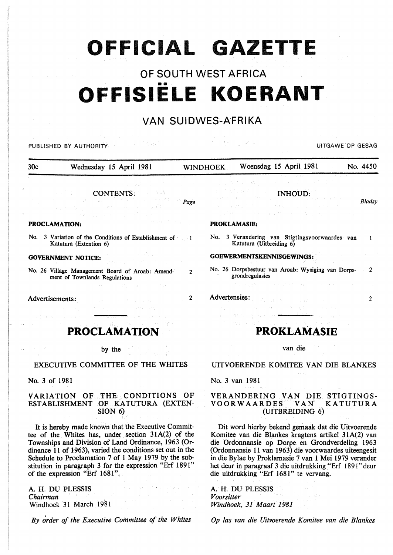# **OFFICIAL GAZETTE**

## OF SOUTH WEST AFRICA •• **OFFISIELE KOERANT**

## VAN SUIDWES-AFRIKA

| PUBLISHED BY AUTHORITY                                                                                                                                                                     |                                                                                                                                                                                                                                                                                                                                                                                                                                                                                                                                                                                                     |                 |            |                                                                                                                                                                                                                                                                                                                                                                                    |                                        | UITGAWE OP GESAG |
|--------------------------------------------------------------------------------------------------------------------------------------------------------------------------------------------|-----------------------------------------------------------------------------------------------------------------------------------------------------------------------------------------------------------------------------------------------------------------------------------------------------------------------------------------------------------------------------------------------------------------------------------------------------------------------------------------------------------------------------------------------------------------------------------------------------|-----------------|------------|------------------------------------------------------------------------------------------------------------------------------------------------------------------------------------------------------------------------------------------------------------------------------------------------------------------------------------------------------------------------------------|----------------------------------------|------------------|
| 30c                                                                                                                                                                                        | Wednesday 15 April 1981                                                                                                                                                                                                                                                                                                                                                                                                                                                                                                                                                                             | <b>WINDHOEK</b> |            | Woensdag 15 April 1981                                                                                                                                                                                                                                                                                                                                                             |                                        | No. 4450         |
| <b>PROCLAMATION:</b>                                                                                                                                                                       | <b>CONTENTS:</b><br>めんえいよう しんしろうどうしん                                                                                                                                                                                                                                                                                                                                                                                                                                                                                                                                                                | Page            |            | na Pega<br><b>INHOUD:</b><br>and the service of the control of the<br>しょうきょう 金の葉 しょうおんしゃく<br><b>PROKLAMASIE:</b>                                                                                                                                                                                                                                                                   |                                        | Bladsy           |
| Katutura (Extention 6)                                                                                                                                                                     | No. 3 Variation of the Conditions of Establishment of 1                                                                                                                                                                                                                                                                                                                                                                                                                                                                                                                                             |                 |            | No. 3 Verandering van Stigtingsvoorwaardes van<br>Katutura (Uitbreiding 6)                                                                                                                                                                                                                                                                                                         |                                        | $\blacksquare$   |
| <b>GOVERNMENT NOTICE:</b>                                                                                                                                                                  |                                                                                                                                                                                                                                                                                                                                                                                                                                                                                                                                                                                                     |                 |            | GOEWERMENTSKENNISGEWINGS:                                                                                                                                                                                                                                                                                                                                                          |                                        |                  |
| ment of Townlands Regulations                                                                                                                                                              | No. 26 Village Management Board of Aroab: Amend-<br>digital de la Bro                                                                                                                                                                                                                                                                                                                                                                                                                                                                                                                               | 2               |            | No. 26 Dorpsbestuur van Aroab: Wysiging van Dorps-2<br>grondregulasies<br>그는 사용하는 사람들이 어려운 것이 없어요.                                                                                                                                                                                                                                                                                 |                                        |                  |
| Advertisements:                                                                                                                                                                            | Australian Control County<br>$\label{eq:2.1} \mathcal{L}_{\mathcal{A}}(\mathcal{L}_{\mathcal{A}}(\mathcal{A})) = \mathcal{L}_{\mathcal{A}}(\mathcal{A}(\mathcal{A})) = \mathcal{L}_{\mathcal{A}}(\mathcal{A})$<br><b>PROCLAMATION</b>                                                                                                                                                                                                                                                                                                                                                               | 2               |            | Advertensies:                                                                                                                                                                                                                                                                                                                                                                      | - 「三歳」 最終 コンドルチン<br><b>PROKLAMASIE</b> | 2                |
|                                                                                                                                                                                            | by the<br>EXECUTIVE COMMITTEE OF THE WHITES                                                                                                                                                                                                                                                                                                                                                                                                                                                                                                                                                         |                 |            | van die<br>UITVOERENDE KOMITEE VAN DIE BLANKES                                                                                                                                                                                                                                                                                                                                     |                                        |                  |
| No. 3 of 1981                                                                                                                                                                              |                                                                                                                                                                                                                                                                                                                                                                                                                                                                                                                                                                                                     |                 |            | No. 3 van 1981                                                                                                                                                                                                                                                                                                                                                                     |                                        |                  |
|                                                                                                                                                                                            | VARIATION OF THE CONDITIONS OF<br>ESTABLISHMENT OF KATUTURA (EXTEN-<br>SION 6                                                                                                                                                                                                                                                                                                                                                                                                                                                                                                                       |                 |            | VERANDERING VAN DIE STIGTINGS-<br><b>VOORWAARDES</b><br>(UITBREIDING 6)                                                                                                                                                                                                                                                                                                            | <b>VAN</b>                             | <b>KATUTURA</b>  |
| of the expression "Erf 1681".                                                                                                                                                              | It is hereby made known that the Executive Commit-<br>tee of the Whites has, under section 31A(2) of the<br>Townships and Division of Land Ordinance, 1963 (Or-<br>dinance 11 of 1963), varied the conditions set out in the<br>Schedule to Proclamation 7 of 1 May 1979 by the sub-<br>stitution in paragraph 3 for the expression "Erf 1891"                                                                                                                                                                                                                                                      |                 |            | Dit word hierby bekend gemaak dat die Uitvoerende<br>Komitee van die Blankes kragtens artikel 31A(2) van<br>die Ordonnansie op Dorpe en Grondverdeling 1963<br>(Ordonnansie 11 van 1963) die voorwaardes uiteengesit<br>in die Bylae by Proklamasie 7 van 1 Mei 1979 verander<br>het deur in paragraaf 3 die uitdrukking "Erf 1891" deur<br>die uitdrukking "Erf 1681" te vervang. |                                        |                  |
| A. H. DU PLESSIS<br>$\mathcal{N}=\left(1-\frac{1}{2}\right)_{\mathcal{N}}\left(\mathcal{N}^{(1)}\right)_{\mathcal{N}}\left(\mathcal{N}^{(2)}\right)$<br>Chairman<br>Windhoek 31 March 1981 | $\lambda$ is a particular function of $\lambda$<br>$\label{eq:2.1} \mathcal{L}_{\mathcal{A}}(\mathcal{L}_{\mathcal{A}}) = \mathcal{L}_{\mathcal{A}}(\mathcal{L}_{\mathcal{A}}) = \mathcal{L}_{\mathcal{A}}(\mathcal{L}_{\mathcal{A}}) = \mathcal{L}_{\mathcal{A}}(\mathcal{L}_{\mathcal{A}}) = \mathcal{L}_{\mathcal{A}}(\mathcal{L}_{\mathcal{A}})$<br>$\chi_{\rm{max}}$ and $\chi_{\rm{max}}$ are the second contract of the second second second second second second second second second second second second second second second second second second second second second second second sec |                 | Voorsitter | $\mathcal{A}_{\mathcal{A},\mathcal{A}} = \mathcal{A}_{\mathcal{A}} \mathcal{A}_{\mathcal{A},\mathcal{A}} = \mathcal{A}_{\mathcal{A}} \mathcal{A}_{\mathcal{A}} \mathcal{A}_{\mathcal{A}} = \mathcal{A}_{\mathcal{A}} \mathcal{A}_{\mathcal{A}} = \mathcal{A}_{\mathcal{A}} \mathcal{A}_{\mathcal{A}} \mathcal{A}_{\mathcal{A}}$<br>A. H. DU PLESSIS<br>Windhoek, 31 Maart 1981     | 아버지가 이용하셨다. 남자 나는                      |                  |

*By order of the Executive Committee of the Whites* 

*Op las van die Uitvoerende Komitee van die Blankes*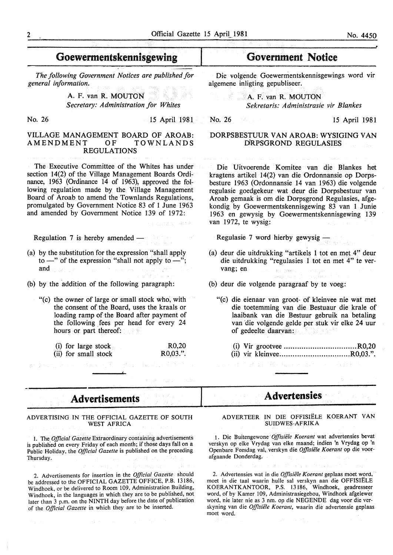## Goewermentskennisgewing

*The following Government Notices are published for general information.* 

> A. F. van R. MOUTON *Secretary: Administration for Whites*

No. 26 15 April 1981

ace crash carsa

#### VILLAGE MANAGEMENT BOARD OF AROAB:<br>AMENDMENT OF TOWNLANDS AMENDMENT OF REGULATIONS

The Executive Committee of the Whites has under section 14(2) of the Village Management Boards Ordinance, 1963 (Ordinance 14 of 1963), approved the following regulation made by the Village Management Board of Aroab to amend the Townlands Regulations, promulgated by Government Notice 83 of 1 June 1963 and amended by Government Notice 139 of 1972:

Regulation  $7$  is hereby amended  $-$ 

- (a) by the substitution for the expression "shall apply to  $-$ " of the expression "shall not apply to  $-$ "; and and a strong state of the state of the state
- (b) by the addition of the following paragraph:
	- "(c) the owner of large or small stock who, with the consent of the Board, uses the kraals or loading ramp of the Board after payment of the following fees per head for every 24 hours or part thereof:

(i) for large stock (ii) for small stock R0,20 R0,03.".

**Advertisements** 

ADVERTISING IN THE OFFICIAL GAZETTE OF SOUTH WEST AFRICA

I. The *Official Gazette* Extraordinary containing advertisements is published on every Friday of each month; if those days fall on a Public Holiday, the *Official Gazette* is published on the preceding Thursday.

2. Advertisements for insertion in the *Official Gazette* should be addressed to the OFFICIAL GAZETTE OFFICE, P.B. 13186, Windhoek, or be delivered to Room 109, Administration Building, Windhoek, in the languages in which they are to be published, not later than 3 p.m. on the NINTH day before the date of publication of the *Official Gazette* in which they are to be inserted.

1920-10

### Government Notice

Die volgende Goewermentskennisgewings word vir algemene inligting gepubliseer.

**A. F. van R. MOUTON** *Sekretaris: Administrasie vir Blankes* 

 $\overline{\phantom{a}}$ 

No. 26 15 April 1981

#### DORPSBESTUUR VAN AROAB: WYSIGING VAN DRPSGROND REGULASIES

Die Uitvoerende Komitee van die Blankes het kragtens artikel 14(2) van die Ordonnansie op Dorpsbesture 1963 (Ordonnansie 14 van 1963) die volgende regulasie goedgekeur wat deur die Dorpsbestuur van Aroab gemaak is om die Dorpsgrond Regulasies, afgekondig by Goewermentskennisgewing 83 van 1 Junie 1963 en gewysig by Goewermentskennisgewing 139 van 1972, te wysig:

Regulasie 7 word hierby gewysig -

- (a) deur die uitdrukking "artikels 1 tot en met 4" deur die uitdrukking "regulasies 1 tot en met 4" te vervang; en .<br>Istorijas pri
- (b) deur die volgende paragraaf by te voeg:
	- "(c) die eienaar van groot- of kleinvee nie wat met die toetemming van die Bestuaur die krale of laaibank van die Bestuur gebruik na betaling van "die volgende gelde per stuk vir elke 24 uur of gedeelte daarvan:
		- (i) Vir grootvee ................................. R0,20
		- (ii) vir kleinvee ................................ R0,03.".
			- **Advertensies**

A DYER TEER IN DIE OFFISIELE KOERANT VAN SUIDWES-AFRIKA

1. Die Buitengewone Offisiële Koerant wat advertensies bevat verskyn op elke Vrydag van elke maand; indien 'n Vrydag op 'n Openbare Feesdag val, verskyn die Offisiële Koerant op die voorafgaande Donderdag.

2. Advertensies wat in die *Offisiële Koerant* geplaas moet word, moet in die taal waarin hulle sal verskyn aan die OFFISIELE KOERANTKANTOOR, P.S. 13186, Windhoek, geadresseer word, of by Kamer 109, Administrasiegebou, Windhoek afgelewer word, nie later nie as 3 nm. op die NEGENDE dag voor die verskyning van die Offisiële Koerant, waarin die advertensie geplaas moet word.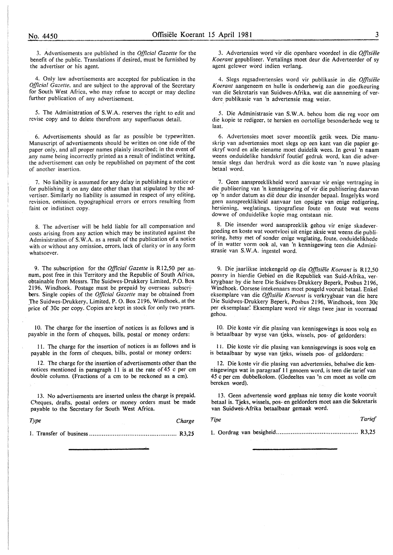3. Advertisements are published in the *Official Gazette* for the benefit of the public. Translations if desired, must be furnished by the advertiser or his agent.

4. Only law advertisements are accepted for publication in the *Official Gazette,* and are subject to the approval of the Secretary for South West Africa, who may refuse to accept or may decline further publication of any advertisement.

5. The Administration of S.W.A. reserves the right to edit and revise copy and to delete therefrom any superfluous detail.

6. Advertisements should as far as possfble be typewritten. Manuscript of advertisements should be written on one side of the paper only, and all proper names plainly inscribed; in the event of .any name being incorrectly printed as a result of indistinct writing, the advertisement can only be republished on payment of the cost of another insertion.

7. No liability is assumed for any delay in publishing a notice or for publishing it on any date other than that stipulated by the advertiser. Similarly no liability is assumed in respect of any editing, revision, omission, typographical errors or errors resulting from faint or indistinct copy.

8. The advertiser will be held liable for all compensation and costs arising from any action which may be instituted against the Administration of S.W.A. as a result of the publication of a notice with or without any omission, errors, lack of clarity or in any form whatsoever.

9. The subscription for the *Official Gazette* is R12,50 per annum, post free in this Territory and the Republic of South Africa, obtainable from Messrs. The Suidwes-Drukkery Limited, P.O. Box 2196, Windhoek. Postage must be prepaid by overseas subscribers. Single copies of the *Official Gazette* may be obtained from The Suidwes-Drukkery, Limited, P. O. Box 2196, Windhoek, at the price of 30c per copy. Copies are kept in stock for only two years.

10. The charge for the insertion of notices is as follows and is payable in the form of cheques, bills, postal or money orders:

II. The charge for the insertion of notices is as follows and is payable in the form of cheques, bills, postal or money orders:

12. The charge for the insertion of advertisements other than the notices mentioned in paragraph II is at the rate of 45 c per em double column. (Fractions of a em to be reckoned as a em).

13. No advertisements are inserted unless the charge is prepaid. Cheques, drafts, postal orders or money orders must be made payable to the Secretary for South West Africa.

*Type Charge* 

I. Transfer of business ................................................ R3,25

3. Advertensies word vir die openbare voordee! in die *Offisiele Koerant* gepubliseer. Vertalings moet deur die Adverteerder of sy agent gelewer word indien verlang.

4. Slegs regsadvertensies word vir publikasie in die *Offisiele K oerant* aangeneem en hulle is onderhewig aan die goedkeuring van die Sekretaris van Suidwes-Afrika, wat die aanneming of verdere publikasie van 'n advertensie mag weier.

5. Die Administrasie van S.W.A. behou hom die reg voor om die kopie te redigeer, te hersien en oortollige besonderhede weg te laat.

6. Advertensies moet sover moontlik getik wees. Die manuskrip van advertensies moet slegs op een kant van die papier geskryf word en aile eiename moet duidelik wees. In geval 'n naam weens onduidelike handskrif foutief gedruk word, kan die advertensie slegs dan herdruk word as die koste van 'n nuwe plasing betaal word.

7. Geen aanspreeklikheid word aanvaar vir enige vertraging in die publisering van 'n kennisgewing of vir die publisering daarvan op 'n ander datum as die deur die insender bepaal. Insgelyks word geen aanspreeklikheid aanvaar ten opsigte van enige redigering, hersiening, weglatings. tipografiese foute en foute wat weens dowwe of onduidelike kopie mag ontstaan nie.

8. Die insender word aanspreeklik gehou vir enige skadevergoeding en koste wat voortvloei uit enige aksie wat weens die publisering, hetsy met of sonder enige weglating, foute, onduidelikhede of in watter vorm ook al, van 'n kennisgewing teen die Administrasie van S.W.A. ingestel word.

9. Die jaarlikse intekengeld op die *Offisiele Koerant* is Rl2,50 posvry in hierdie Gebied en die Republiek van Suid-Afrika, verkrygbaar by die here Die Suidwes-Drukkery Beperk, Posbus 2196, Windhoek. Oorsese intekenaars moet posgeld vooruit betaal. Enkel eksemplare van die *Offisiele Koerant* is verkrygbaar van die here Die Suidwes-Drukkery Beperk, Posbus 2196, Windhoek, teen 30c per eksemplaar: Eksemplare word vir slegs twee jaar in voorraad gehou.

I 0. Die koste vir die plasing van kennisgewings is soos volg en is betaalbaar by wyse van tjeks, wissels, pos- of geldorders:

II. Die koste vir die plasing van kennisgewings is soos volg en is betaalbaar by wyse van tjeks, wissels pos- of geldorders:

12. Die koste vir die plasing van advertensies, behalwe die kennisgewings wat in paragraaf II genoem word, is teen die tarief van 45 c per em dubbelkolom. (Gedeeltes van 'n em moet as voile em bereken word).

13. Geen advertensie word geplaas nie tensy die koste vooruit betaal is. Tjeks, wissels: pos- en geldorders moet aan die Sekretaris van Suidwes~Afrika betaalbaar gemaak word.

*Tipe Tarief* 

l. Oordrag van besigheid ............................................. R3,25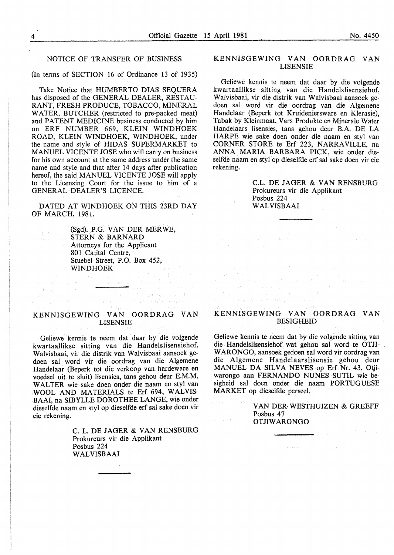#### NOTICE OF TRANSFER OF BUSINESS

(In terms of SECTION 16 of Ordinance 13 of 1935)

Take Notice that HUMBERTO DIAS SEOUERA has disposed of the GENERAL DEALER, RESTAU-RANT, FRESH PRODUCE, TOBACCO, MINERAL WATER, BUTCHER (restricted to pre-packed meat) and PATENT MEDICINE business conducted by him on ERF NUMBER 669, KLEIN WINDHOEK ROAD, KLEIN WINDHOEK, WINDHOEK, under the name and style of HIDAS SUPERMARKET to MANUEL VICENTE JOSE who will carry on business for his own account at the same address under the same name and style and that after 14 days after publication hereof, the said MANUEL VICENTE JOSE will apply to the Licensing Court for the issue to him of a GENERAL DEALER'S LICENCE.

DATED AT WINDHOEK ON THIS 23RD DAY OF MARCH, 1981.

> (Sgd). P.G. VAN DER MER WE, STERN & BARNARD Attorneys for the Applicant 801 Ca;ital Centre, Stuebe! Street, P.O. Box 452, WINDHOEK

> > $\frac{1}{2}A\left(\alpha_{0}-\frac{1}{2}\right)A\left(\alpha_{0}\right)$

of all contacts and became heart.

#### KENNISGEWING VAN OORDRAG VAN LISENSIE

Geliewe kennis te neem dat daar by die volgende kwartaallikse sitting van die Handelslisensiehof, Walvisbaai, vir die distrik van Walvisbaai aansoek gedoen sal word vir die oordrag van die Algemene Handelaar (Beperk tot die verkoop van hardeware en voedsel uit te sluit) lisensies, tans gehou deur E.M.M. WALTER wie sake doen onder die naam en sty! van WOOL AND MATERIALS te Erf 694, WALVIS-BAAI, na SIBYLLE DOROTHEE LANGE, wie onder dieselfde naam en styl op dieselfde erf sal sake doen vir eie rekening.

> C. L. DE JAGER & VAN RENSBURG Prokureurs vir die Applikant Posbus 224 WALVISBAAI

#### KENNISGEWING VAN OORDRAG VAN LISENSIE

Geliewe kennis te neem dat daar by die volgende kwartaallikse sitting van die Handelslisensiehof, Walvisbaai, vir die distrik van Walvisbaai aansoek gedoen sal word vir die oordrag van die Algemene Handelaar (Beperk tot Kruideniersware en Klerasie), Tabak by Kleinmaat, Vars Produkte en Minerale Water Handeiaars lisensies, tans gehou deur B.A. DE LA HARPE wie sake doen onder die naam en sty! van CORNER STORE te Erf 223, NARRA VILLE, na ANNA MARIA BARBARA PICK, wie onder dieselfde naam en sty! op dieselfde erf sal sake doen vir eie rekening.

> C.L. DE JAGER & VAN RENSBURG Prokureurs vir die Applikant Posbus 224 WALVISBAAI

#### KENNISGEWING VAN OORDRAG VAN BESIGHEID

 $\label{eq:2.1} \begin{split} \mathcal{F}_{\text{max}}(\mathbf{1},\mathbf{1})&=\mathcal{F}_{\text{max}}(\mathbf{1},\mathbf{1})\mathbf{1}_{\mathbf{1}}\mathbf{1}_{\mathbf{1}}\mathbf{1}_{\mathbf{1}}\mathbf{1}_{\mathbf{1}}\mathbf{1}_{\mathbf{1}}\mathbf{1}_{\mathbf{1}}\mathbf{1}_{\mathbf{1}}\mathbf{1}_{\mathbf{1}}\mathbf{1}_{\mathbf{1}}\mathbf{1}_{\mathbf{1}}\mathbf{1}_{\mathbf{1}}\mathbf{1}_{\mathbf{1}}\mathbf{1}_{\mathbf{1}}\mathbf$ 1980年 - 1991年 - 1992年 1月13日<br>4月28日 - 1992年 - 1992年 - 1992年<br>1992年 - 1992年 - 1992年 - 1992年

 $\label{eq:3.1} \begin{array}{ll} \mathcal{L}(\mathcal{H})=\mathcal{H}^{\dagger}(\mathcal{H})\times\mathcal{H}^{\dagger}(\mathcal{H})\times\mathcal{H}^{\dagger}(\mathcal{H}) \end{array}$ 

Geliewe kennis te neem dat by die volgende sitting van die Handelslisensiehof wat gehou sal word te OTJI-W ARONGO, aansoek gedoen sal word vir oordrag van die Algemene Handelaarslisensie gehou deur MANUEL DA SILVA NEVES op Erf Nr. 43, Otjiwarongo aan FERNANDO NUNES SUTIL wie besigheid sal doen onder die naam PORTUGUESE MARKET op dieselfde perseel.

> VAN DER WESTHUIZEN & GREEFF Posbus 47 OTJIW ARONGO

 $\frac{1}{2} \sqrt{\frac{1}{2} \rho^2}$  .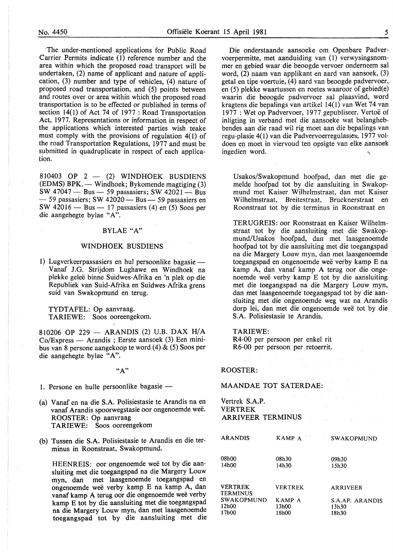The under-mentioned applications for Public Road Carrier Permits indicate (1) reference number and the area within which the proposed road transport will be undertaken, (2) name of applicant and nature of application, (3) number and type of vehicles, (4) nature of proposed road transportation, and (5) points between and routes over or area within which the proposed road transportation is to be effected or published in terms of section  $14(1)$  of Act 74 of 1977 : Road Transportation Act, 1977. Representations or information in respect of the applications which interested parties wish teake must comply with the provisions of regulation 4(1) of the road Transportation Regulations, 1977 and must be submitted in quadruplicate in respect of each application.

810403 OP  $2 - (2)$  WINDHOEK BUSDIENS (EDMS) BPK. — Windhoek; Bykomende magtiging (3) SW  $47047 - Bus - 59$  passasiers; SW  $42021 - Bus$  $-59$  passasiers; SW 42020 $-$  Bus $-$  59 passasiers en SW  $42016$  – Bus – 17 passasiers (4) en (5) Soos per die aangehegte bylae "A".

#### BYLAE "A"

#### WINDHOEK BUSDIENS

1) Lugverkeerpassasiers en hul persoonlike bagasie -Vanaf J.G. Strijdom Lughawe en Windhoek na plekke gelee binne Suidwes-Afrika en 'n plek op die Republiek van Suid-Afrika en Suidwes-Afrika grens suid van Swakopmund en terug.

TYDT AFEL: Op aanvraag. TARIEWE: Soos ooreengekom.

810206 OP 229 - ARANDIS (2) U.B. DAX H/A Co/Express - Arandis ; Eerste aansoek (3) Een minibus van 8 persone aangekoop te word (4) & (5) Soos per die aangehegte bylae "A".

 $(A")$ 

1. Persone en hulle persoonlike bagasie  $-$ 

- (a) Vanaf en na die S.A. Polisiestasie te Arandis na en vanaf Arandis spoorwegstasie oor ongenoemde wee. ROOSTER: Op aanvraag TARIEWE: Soos ooreengekom
- (b) Tussen die S.A. Polisiestasie te Arandis en die terminus in Roonstraat, Swakopmund.

HEENREIS: oor ongenoemde weë tot by die aansluiting met die toegangspad na die Margery Louw myn, dan met laasgenoemde toegangspad en ongenoemde wee verby kamp E na kamp A, dan vanaf kamp A terug oor die ongenoemde wee verby kamp E tot by die aansluiting met die toegangspad na die Margery Louw myn, dan met laasgenoemde toegangspad tot by die aansluiting met die

Die onderstaande aansoeke om Openbare Padvervoerpermitte, met aanduiding van (1) verwysingsnommer en gebied waar die beoogde vervoer onderneem sal word, (2) naam van applikant en aard van aansoek, (3) getal en tipe voertuie, (4) aard van beoogde padvervoer, en (5) plekke waartussen en roetes waaroor of gebied(e) waarin die beoogde padvervoer sal plaasvind, word kragtens die bepalings van artikel 14(1) van Wet 74 van 1977 : Wet op Padvervoer, 1977 gepubliseer. Vertoë of inligting in verband met die aansoeke wat belanghebbendes aan die raad wil rig moet aan die bepalings van regu-plasie 4(1) van die Padvervoerregulasies, 1977 voldoen en moet in viervoud ten opsigte van elke .aansoek ingedien word.

Usakos/Swakopmund hoofpad, dan met die gemelde hoofpad tot by die aansluiting in Swakopmund met Kaiser Wilhelmstraat, dan met Kaiser Wilhelmstraat, Breitestraat, Brucknerstraat en Roonstraat tot by die terminus in Roonstraat en

TERUGREIS: oor Roonstraat en Kaiser Wilhelmstraat tot by die aansluiting met die Swakopmund/Usakos hoofpad, dan met laasgenoemde hoofpad tot by die aansluiting met die toegangspad na die Margery Louw myn, dan met laasgenoemde toegangspad en ongenoemde wee verby kamp E na kamp A, dan vanaf kamp A terug oor die ongenoemde weë verby kamp E tot by die aansluiting met die toegangspad na die Margery Louw myn, dan met laasgenoemde toegangspad tot by die aansluiting met die ongenoemde weg wat na Arandis dorp lei, dan met die ongenoemde wee tot by die S.A. Polisiestasie te Arandis.

#### TARIEWE:

R4-00 per persoon per enkel rit R6-00 per persoon per retoerrit.

#### ROOSTER:

MAANDAE TOT SATERDAE:

Vertrek S.A.P. VERTREK ARRIVEER TERMINUS

| <b>ARANDIS</b>                    | KAMP $A$ <sup>2</sup> | <b>SWAKOPMUND</b> |
|-----------------------------------|-----------------------|-------------------|
| 08h00                             | 08h30                 | 09h30             |
| 14h00                             | 14h30                 | 15h30             |
| <b>VERTREK</b><br><b>TERMINUS</b> | <b>VERTREK</b>        | ARRIVEER          |
| <b>SWAKOPMUND</b>                 | KAMP A                | S.A.AP. ARANDIS   |
| 12h00                             | 13h00                 | 13h30             |
| 17h00                             | 18h00                 | 18h30             |